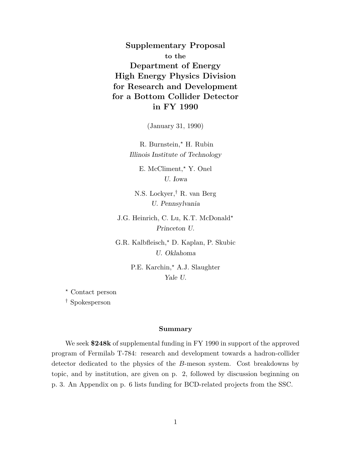**Supplementary Proposal to the Department of Energy High Energy Physics Division for Research and Development for a Bottom Collider Detector in FY 1990**

(January 31, 1990)

R. Burnstein,\* H. Rubin *Illinois Institute of Technology*

E. McCliment,\* Y. Onel *U. Iowa*

N.S. Lockyer,*†* R. van Berg *U. Pennsylvania*

J.G. Heinrich, C. Lu, K.T. McDonald\* *Princeton U.*

G.R. Kalbfleisch,\* D. Kaplan, P. Skubic *U. Oklahoma*

> P.E. Karchin,\* A.J. Slaughter *Yale U.*

- Contact person

*†* Spokesperson

#### **Summary**

We seek **\$248k** of supplemental funding in FY 1990 in support of the approved program of Fermilab T-784: research and development towards a hadron-collider detector dedicated to the physics of the *B*-meson system. Cost breakdowns by topic, and by institution, are given on p. 2, followed by discussion beginning on p. 3. An Appendix on p. 6 lists funding for BCD-related projects from the SSC.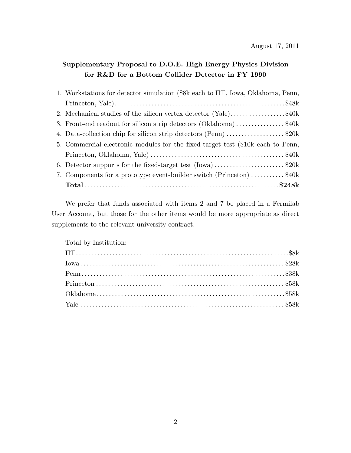# **Supplementary Proposal to D.O.E. High Energy Physics Division for R&D for a Bottom Collider Detector in FY 1990**

| 1. Workstations for detector simulation (\$8k each to IIT, Iowa, Oklahoma, Penn, |
|----------------------------------------------------------------------------------|
|                                                                                  |
| 2. Mechanical studies of the silicon vertex detector (Yale)\$40k                 |
| 3. Front-end readout for silicon strip detectors (Oklahoma)\$40k                 |
| 4. Data-collection chip for silicon strip detectors (Penn) \$20k                 |
| 5. Commercial electronic modules for the fixed-target test (\$10k each to Penn,  |
|                                                                                  |
| 6. Detector supports for the fixed-target test $(lowa)$ \$20k                    |
| 7. Components for a prototype event-builder switch (Princeton) \$40k             |
|                                                                                  |

We prefer that funds associated with items 2 and 7 be placed in a Fermilab User Account, but those for the other items would be more appropriate as direct supplements to the relevant university contract.

Total by Institution: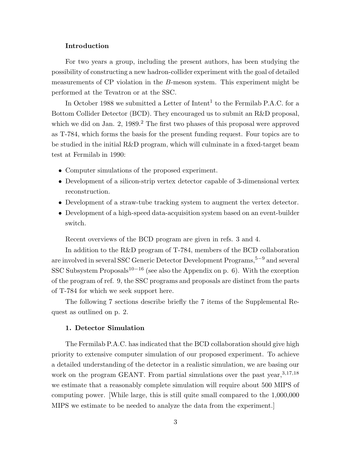# **Introduction**

For two years a group, including the present authors, has been studying the possibility of constructing a new hadron-collider experiment with the goal of detailed measurements of CP violation in the *B*-meson system. This experiment might be performed at the Tevatron or at the SSC.

In October 1988 we submitted a Letter of  $In$ thent<sup>1</sup> to the Fermilab P.A.C. for a Bottom Collider Detector (BCD). They encouraged us to submit an R&D proposal, which we did on Jan. 2,  $1989<sup>2</sup>$ . The first two phases of this proposal were approved as T-784, which forms the basis for the present funding request. Four topics are to be studied in the initial R&D program, which will culminate in a fixed-target beam test at Fermilab in 1990:

- *•* Computer simulations of the proposed experiment.
- Development of a silicon-strip vertex detector capable of 3-dimensional vertex reconstruction.
- Development of a straw-tube tracking system to augment the vertex detector.
- Development of a high-speed data-acquisition system based on an event-builder switch.

Recent overviews of the BCD program are given in refs. 3 and 4.

In addition to the R&D program of T-784, members of the BCD collaboration are involved in several SSC Generic Detector Development Programs,<sup>5–9</sup> and several SSC Subsystem Proposals<sup>10−16</sup> (see also the Appendix on p. 6). With the exception of the program of ref. 9, the SSC programs and proposals are distinct from the parts of T-784 for which we seek support here.

The following 7 sections describe briefly the 7 items of the Supplemental Request as outlined on p. 2.

## **1. Detector Simulation**

The Fermilab P.A.C. has indicated that the BCD collaboration should give high priority to extensive computer simulation of our proposed experiment. To achieve a detailed understanding of the detector in a realistic simulation, we are basing our work on the program GEANT. From partial simulations over the past year,  $3,17,18$ we estimate that a reasonably complete simulation will require about 500 MIPS of computing power. [While large, this is still quite small compared to the 1,000,000 MIPS we estimate to be needed to analyze the data from the experiment.]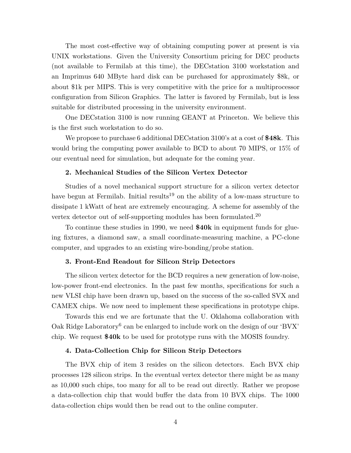The most cost-effective way of obtaining computing power at present is via UNIX workstations. Given the University Consortium pricing for DEC products (not available to Fermilab at this time), the DECstation 3100 workstation and an Imprimus 640 MByte hard disk can be purchased for approximately \$8k, or about \$1k per MIPS. This is very competitive with the price for a multiprocessor configuration from Silicon Graphics. The latter is favored by Fermilab, but is less suitable for distributed processing in the university environment.

One DECstation 3100 is now running GEANT at Princeton. We believe this is the first such workstation to do so.

We propose to purchase 6 additional DECstation 3100's at a cost of **\$48k**. This would bring the computing power available to BCD to about 70 MIPS, or 15% of our eventual need for simulation, but adequate for the coming year.

#### **2. Mechanical Studies of the Silicon Vertex Detector**

Studies of a novel mechanical support structure for a silicon vertex detector have begun at Fermilab. Initial results<sup>19</sup> on the ability of a low-mass structure to dissipate 1 kWatt of heat are extremely encouraging. A scheme for assembly of the vertex detector out of self-supporting modules has been formulated.<sup>20</sup>

To continue these studies in 1990, we need **\$40k** in equipment funds for glueing fixtures, a diamond saw, a small coordinate-measuring machine, a PC-clone computer, and upgrades to an existing wire-bonding/probe station.

## **3. Front-End Readout for Silicon Strip Detectors**

The silicon vertex detector for the BCD requires a new generation of low-noise, low-power front-end electronics. In the past few months, specifications for such a new VLSI chip have been drawn up, based on the success of the so-called SVX and CAMEX chips. We now need to implement these specifications in prototype chips.

Towards this end we are fortunate that the U. Oklahoma collaboration with Oak Ridge Laboratory<sup>6</sup> can be enlarged to include work on the design of our 'BVX' chip. We request **\$40k** to be used for prototype runs with the MOSIS foundry.

#### **4. Data-Collection Chip for Silicon Strip Detectors**

The BVX chip of item 3 resides on the silicon detectors. Each BVX chip processes 128 silicon strips. In the eventual vertex detector there might be as many as 10,000 such chips, too many for all to be read out directly. Rather we propose a data-collection chip that would buffer the data from 10 BVX chips. The 1000 data-collection chips would then be read out to the online computer.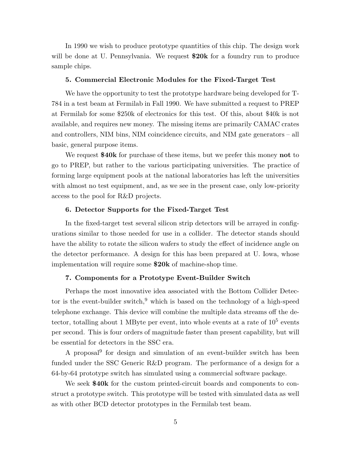In 1990 we wish to produce prototype quantities of this chip. The design work will be done at U. Pennsylvania. We request **\$20k** for a foundry run to produce sample chips.

## **5. Commercial Electronic Modules for the Fixed-Target Test**

We have the opportunity to test the prototype hardware being developed for T-784 in a test beam at Fermilab in Fall 1990. We have submitted a request to PREP at Fermilab for some \$250k of electronics for this test. Of this, about \$40k is not available, and requires new money. The missing items are primarily CAMAC crates and controllers, NIM bins, NIM coincidence circuits, and NIM gate generators – all basic, general purpose items.

We request **\$40k** for purchase of these items, but we prefer this money **not** to go to PREP, but rather to the various participating universities. The practice of forming large equipment pools at the national laboratories has left the universities with almost no test equipment, and, as we see in the present case, only low-priority access to the pool for R&D projects.

#### **6. Detector Supports for the Fixed-Target Test**

In the fixed-target test several silicon strip detectors will be arrayed in configurations similar to those needed for use in a collider. The detector stands should have the ability to rotate the silicon wafers to study the effect of incidence angle on the detector performance. A design for this has been prepared at U. Iowa, whose implementation will require some **\$20k** of machine-shop time.

## **7. Components for a Prototype Event-Builder Switch**

Perhaps the most innovative idea associated with the Bottom Collider Detector is the event-builder switch, $9$  which is based on the technology of a high-speed telephone exchange. This device will combine the multiple data streams off the detector, totalling about 1 MByte per event, into whole events at a rate of  $10^5$  events per second. This is four orders of magnitude faster than present capability, but will be essential for detectors in the SSC era.

A proposal $^{9}$  for design and simulation of an event-builder switch has been funded under the SSC Generic R&D program. The performance of a design for a 64-by-64 prototype switch has simulated using a commercial software package.

We seek **\$40k** for the custom printed-circuit boards and components to construct a prototype switch. This prototype will be tested with simulated data as well as with other BCD detector prototypes in the Fermilab test beam.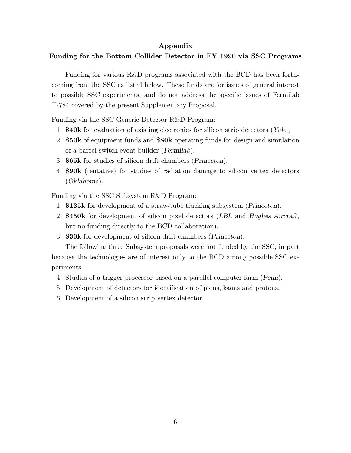# **Appendix**

# **Funding for the Bottom Collider Detector in FY 1990 via SSC Programs**

Funding for various R&D programs associated with the BCD has been forthcoming from the SSC as listed below. These funds are for issues of general interest to possible SSC experiments, and do not address the specific issues of Fermilab T-784 covered by the present Supplementary Proposal.

Funding via the SSC Generic Detector R&D Program:

- 1. **\$40k** for evaluation of existing electronics for silicon strip detectors (*Yale.)*
- 2. **\$50k** of equipment funds and **\$80k** operating funds for design and simulation of a barrel-switch event builder (*Fermilab*).
- 3. **\$65k** for studies of silicon drift chambers (*Princeton*).
- 4. **\$90k** (tentative) for studies of radiation damage to silicon vertex detectors (*Oklahoma*).

Funding via the SSC Subsystem R&D Program:

- 1. **\$135k** for development of a straw-tube tracking subsystem (*Princeton*).
- 2. **\$450k** for development of silicon pixel detectors (*LBL* and *Hughes Aircraft*, but no funding directly to the BCD collaboration).
- 3. **\$30k** for development of silicon drift chambers (*Princeton*).

The following three Subsystem proposals were not funded by the SSC, in part because the technologies are of interest only to the BCD among possible SSC experiments.

- 4. Studies of a trigger processor based on a parallel computer farm (*Penn*).
- 5. Development of detectors for identification of pions, kaons and protons.
- 6. Development of a silicon strip vertex detector.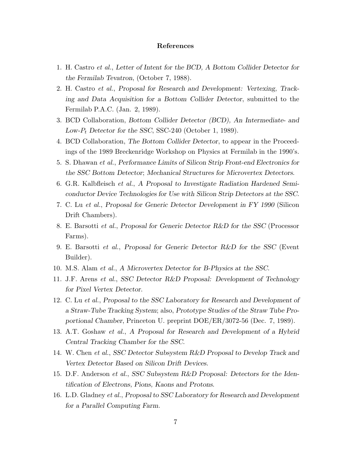## **References**

- 1. H. Castro *et al.*, *Letter of Intent for the BCD, A Bottom Collider Detector for the Fermilab Tevatron*, (October 7, 1988).
- 2. H. Castro *et al.*, *Proposal for Research and Development: Vertexing, Tracking and Data Acquisition for a Bottom Collider Detector*, submitted to the Fermilab P.A.C. (Jan. 2, 1989).
- 3. BCD Collaboration, *Bottom Collider Detector (BCD), An Intermediate- and Low-P*<sup>t</sup> *Detector for the SSC*, SSC-240 (October 1, 1989).
- 4. BCD Collaboration, *The Bottom Collider Detector*, to appear in the Proceedings of the 1989 Breckenridge Workshop on Physics at Fermilab in the 1990's.
- 5. S. Dhawan *et al.*, *Performance Limits of Silicon Strip Front-end Electronics for the SSC Bottom Detector*; *Mechanical Structures for Microvertex Detectors*.
- 6. G.R. Kalbfleisch *et al.*, *A Proposal to Investigate Radiation Hardened Semiconductor Device Technologies for Use with Silicon Strip Detectors at the SSC*.
- 7. C. Lu *et al.*, *Proposal for Generic Detector Development in FY 1990* (Silicon Drift Chambers).
- 8. E. Barsotti *et al.*, *Proposal for Generic Detector R&D for the SSC* (Processor Farms).
- 9. E. Barsotti *et al.*, *Proposal for Generic Detector R&D for the SSC* (Event Builder).
- 10. M.S. Alam *et al.*, *A Microvertex Detector for B-Physics at the SSC*.
- 11. J.F. Arens *et al.*, *SSC Detector R&D Proposal: Development of Technology for Pixel Vertex Detector*.
- 12. C. Lu *et al.*, *Proposal to the SSC Laboratory for Research and Development of a Straw-Tube Tracking System*; also, *Prototype Studies of the Straw Tube Proportional Chamber*, Princeton U. preprint DOE/ER/3072-56 (Dec. 7, 1989).
- 13. A.T. Goshaw *et al.*, *A Proposal for Research and Development of a Hybrid Central Tracking Chamber for the SSC*.
- 14. W. Chen *et al.*, *SSC Detector Subsystem R&D Proposal to Develop Track and Vertex Detector Based on Silicon Drift Devices*.
- 15. D.F. Anderson *et al.*, *SSC Subsystem R&D Proposal: Detectors for the Identification of Electrons, Pions, Kaons and Protons*.
- 16. L.D. Gladney *et al.*, *Proposal to SSC Laboratory for Research and Development for a Parallel Computing Farm*.